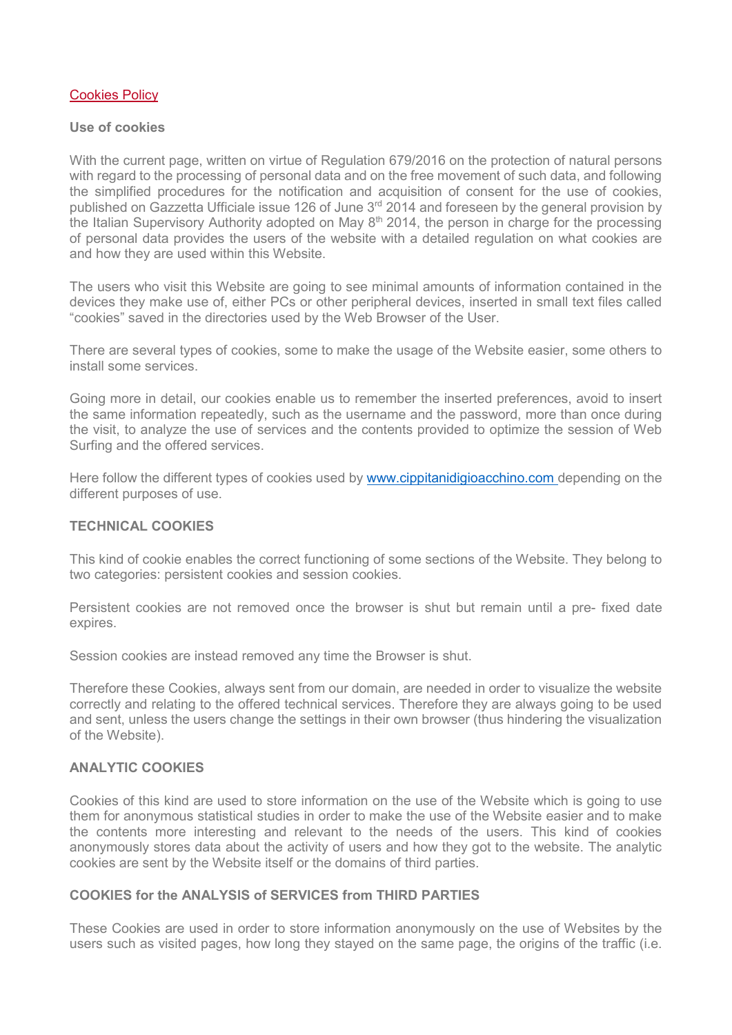## [Cookies Policy](http://www.eucore.eu/component/content/article/9-uncategorised/18338-cookies-policy)

#### **Use of cookies**

With the current page, written on virtue of Regulation 679/2016 on the protection of natural persons with regard to the processing of personal data and on the free movement of such data, and following the simplified procedures for the notification and acquisition of consent for the use of cookies, published on Gazzetta Ufficiale issue 126 of June 3<sup>rd</sup> 2014 and foreseen by the general provision by the Italian Supervisory Authority adopted on May  $8<sup>th</sup>$  2014, the person in charge for the processing of personal data provides the users of the website with a detailed regulation on what cookies are and how they are used within this Website.

The users who visit this Website are going to see minimal amounts of information contained in the devices they make use of, either PCs or other peripheral devices, inserted in small text files called "cookies" saved in the directories used by the Web Browser of the User.

There are several types of cookies, some to make the usage of the Website easier, some others to install some services.

Going more in detail, our cookies enable us to remember the inserted preferences, avoid to insert the same information repeatedly, such as the username and the password, more than once during the visit, to analyze the use of services and the contents provided to optimize the session of Web Surfing and the offered services.

Here follow the different types of cookies used by [www.cippitanidigioacchino.com](http://www.cippitanidigioacchino.com%C2%A0) [d](http://www.cippitanidigioacchino.com%C2%A0)epending on the different purposes of use.

## **TECHNICAL COOKIES**

This kind of cookie enables the correct functioning of some sections of the Website. They belong to two categories: persistent cookies and session cookies.

Persistent cookies are not removed once the browser is shut but remain until a pre- fixed date expires.

Session cookies are instead removed any time the Browser is shut.

Therefore these Cookies, always sent from our domain, are needed in order to visualize the website correctly and relating to the offered technical services. Therefore they are always going to be used and sent, unless the users change the settings in their own browser (thus hindering the visualization of the Website).

#### **ANALYTIC COOKIES**

Cookies of this kind are used to store information on the use of the Website which is going to use them for anonymous statistical studies in order to make the use of the Website easier and to make the contents more interesting and relevant to the needs of the users. This kind of cookies anonymously stores data about the activity of users and how they got to the website. The analytic cookies are sent by the Website itself or the domains of third parties.

## **COOKIES for the ANALYSIS of SERVICES from THIRD PARTIES**

These Cookies are used in order to store information anonymously on the use of Websites by the users such as visited pages, how long they stayed on the same page, the origins of the traffic (i.e.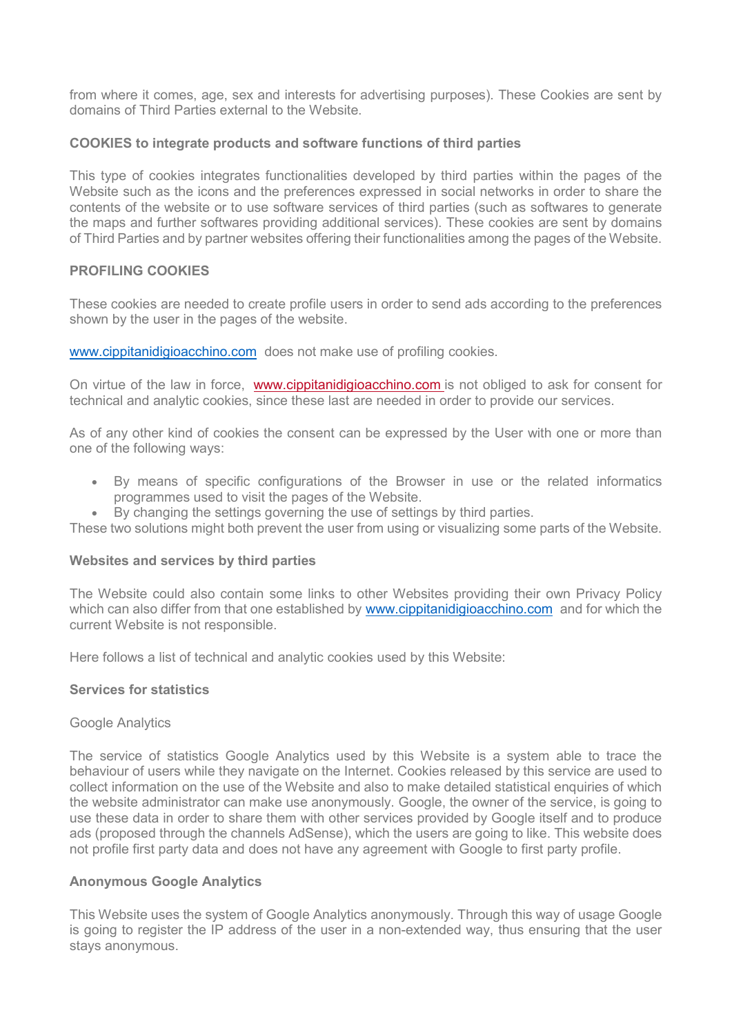from where it comes, age, sex and interests for advertising purposes). These Cookies are sent by domains of Third Parties external to the Website.

## **COOKIES to integrate products and software functions of third parties**

This type of cookies integrates functionalities developed by third parties within the pages of the Website such as the icons and the preferences expressed in social networks in order to share the contents of the website or to use software services of third parties (such as softwares to generate the maps and further softwares providing additional services). These cookies are sent by domains of Third Parties and by partner websites offering their functionalities among the pages of the Website.

# **PROFILING COOKIES**

These cookies are needed to create profile users in order to send ads according to the preferences shown by the user in the pages of the website.

[www.cippitanidigioacchino.com](http://www.cippitanidigioacchino.com/) does not make use of profiling cookies.

On virtue of the law in force, [www.cippitanidigioacchino.com](http://www.eucore.eu/) is not obliged to ask for consent for technical and analytic cookies, since these last are needed in order to provide our services.

As of any other kind of cookies the consent can be expressed by the User with one or more than one of the following ways:

- By means of specific configurations of the Browser in use or the related informatics programmes used to visit the pages of the Website.
- By changing the settings governing the use of settings by third parties.

These two solutions might both prevent the user from using or visualizing some parts of the Website.

## **Websites and services by third parties**

The Website could also contain some links to other Websites providing their own Privacy Policy which can also differ from that one established by [www.cippitanidigioacchino.com](http://www.cippitanidigioacchino.com/) and for which the current Website is not responsible.

Here follows a list of technical and analytic cookies used by this Website:

## **Services for statistics**

## Google Analytics

The service of statistics Google Analytics used by this Website is a system able to trace the behaviour of users while they navigate on the Internet. Cookies released by this service are used to collect information on the use of the Website and also to make detailed statistical enquiries of which the website administrator can make use anonymously. Google, the owner of the service, is going to use these data in order to share them with other services provided by Google itself and to produce ads (proposed through the channels AdSense), which the users are going to like. This website does not profile first party data and does not have any agreement with Google to first party profile.

## **Anonymous Google Analytics**

This Website uses the system of Google Analytics anonymously. Through this way of usage Google is going to register the IP address of the user in a non-extended way, thus ensuring that the user stays anonymous.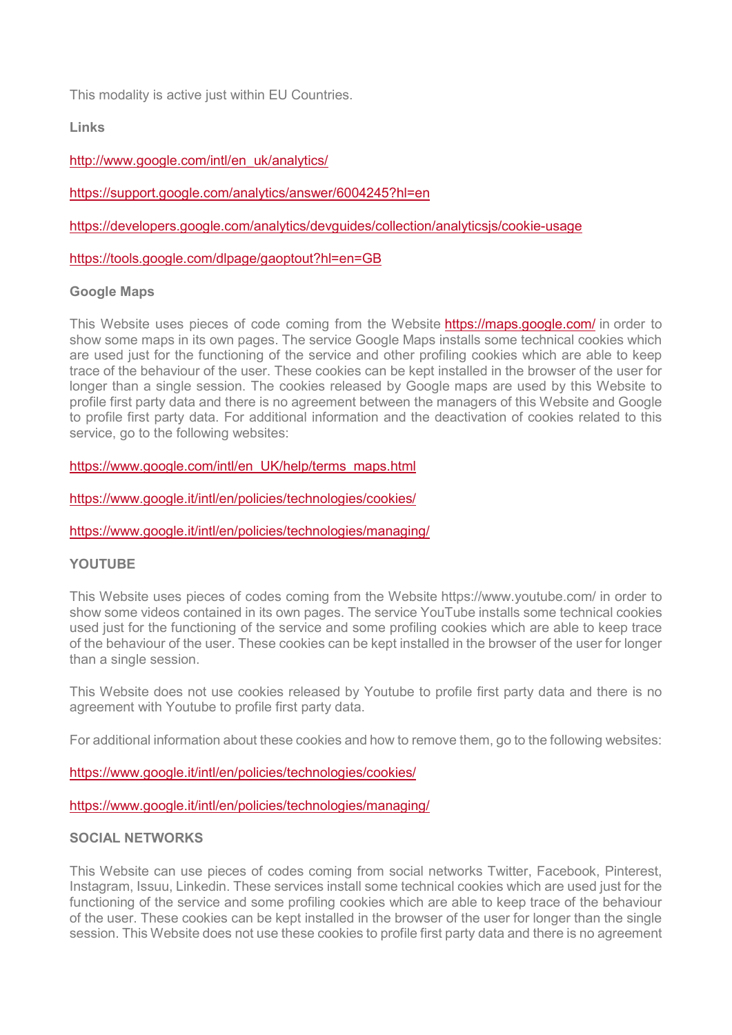This modality is active just within EU Countries.

**Links**

[http://www.google.com/intl/en\\_uk/analytics/](http://www.google.com/intl/en_uk/analytics/)

<https://support.google.com/analytics/answer/6004245?hl=en>

<https://developers.google.com/analytics/devguides/collection/analyticsjs/cookie-usage>

<https://tools.google.com/dlpage/gaoptout?hl=en=GB>

# **Google Maps**

This Website uses pieces of code coming from the Website <https://maps.google.com/> in order to show some maps in its own pages. The service Google Maps installs some technical cookies which are used just for the functioning of the service and other profiling cookies which are able to keep trace of the behaviour of the user. These cookies can be kept installed in the browser of the user for longer than a single session. The cookies released by Google maps are used by this Website to profile first party data and there is no agreement between the managers of this Website and Google to profile first party data. For additional information and the deactivation of cookies related to this service, go to the following websites:

[https://www.google.com/intl/en\\_UK/help/terms\\_maps.html](https://www.google.com/intl/en_UK/help/terms_maps.html)

<https://www.google.it/intl/en/policies/technologies/cookies/>

<https://www.google.it/intl/en/policies/technologies/managing/>

# **YOUTUBE**

This Website uses pieces of codes coming from the Website https://www.youtube.com/ in order to show some videos contained in its own pages. The service YouTube installs some technical cookies used just for the functioning of the service and some profiling cookies which are able to keep trace of the behaviour of the user. These cookies can be kept installed in the browser of the user for longer than a single session.

This Website does not use cookies released by Youtube to profile first party data and there is no agreement with Youtube to profile first party data.

For additional information about these cookies and how to remove them, go to the following websites:

<https://www.google.it/intl/en/policies/technologies/cookies/>

<https://www.google.it/intl/en/policies/technologies/managing/>

## **SOCIAL NETWORKS**

This Website can use pieces of codes coming from social networks Twitter, Facebook, Pinterest, Instagram, Issuu, Linkedin. These services install some technical cookies which are used just for the functioning of the service and some profiling cookies which are able to keep trace of the behaviour of the user. These cookies can be kept installed in the browser of the user for longer than the single session. This Website does not use these cookies to profile first party data and there is no agreement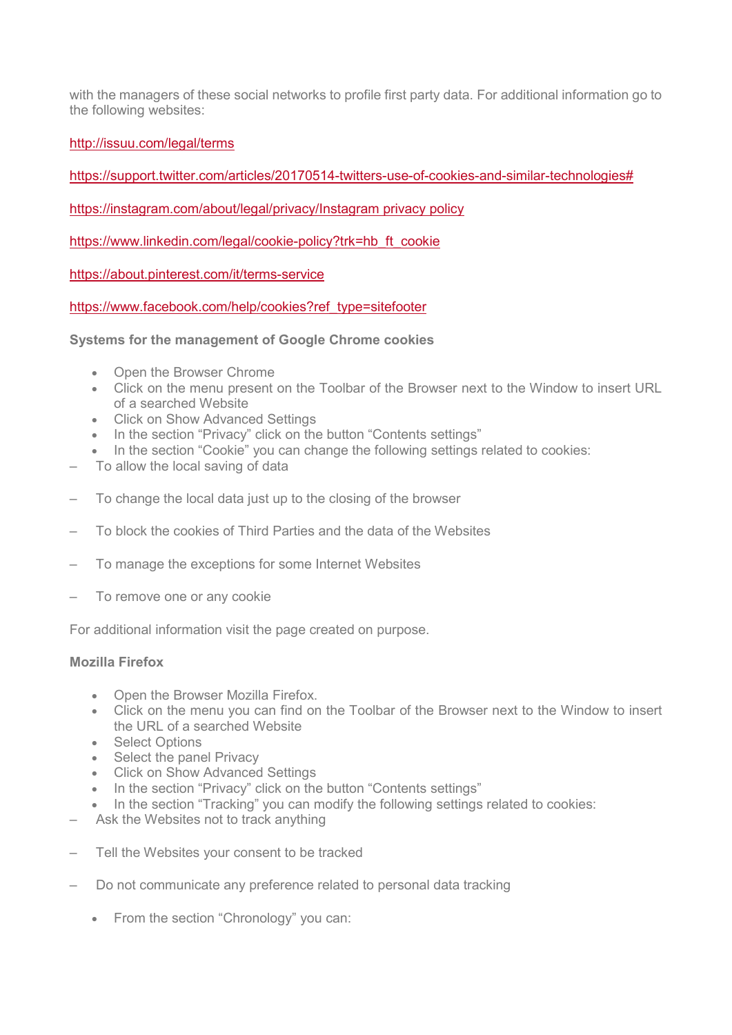with the managers of these social networks to profile first party data. For additional information go to the following websites:

<http://issuu.com/legal/terms>

[https://support.twitter.com/articles/20170514-twitters-use-of-cookies-and-similar-technologies#](https://support.twitter.com/articles/20170514-twitters-use-of-cookies-and-similar-technologies)

[https://instagram.com/about/legal/privacy/Instagram privacy policy](https://instagram.com/about/legal/privacy/Instagram%20privacy%20policy)

[https://www.linkedin.com/legal/cookie-policy?trk=hb\\_ft\\_cookie](https://www.linkedin.com/legal/cookie-policy?trk=hb_ft_cookie)

<https://about.pinterest.com/it/terms-service>

[https://www.facebook.com/help/cookies?ref\\_type=sitefooter](https://www.facebook.com/help/cookies?ref_type=sitefooter)

**Systems for the management of Google Chrome cookies**

- Open the Browser Chrome
- Click on the menu present on the Toolbar of the Browser next to the Window to insert URL of a searched Website
- Click on Show Advanced Settings
- In the section "Privacy" click on the button "Contents settings"
- In the section "Cookie" you can change the following settings related to cookies:
- To allow the local saving of data
- To change the local data just up to the closing of the browser
- To block the cookies of Third Parties and the data of the Websites
- To manage the exceptions for some Internet Websites
- To remove one or any cookie

For additional information visit the page created on purpose.

## **Mozilla Firefox**

- Open the Browser Mozilla Firefox.
- Click on the menu you can find on the Toolbar of the Browser next to the Window to insert the URL of a searched Website
- Select Options
- Select the panel Privacy
- Click on Show Advanced Settings
- In the section "Privacy" click on the button "Contents settings"
- In the section "Tracking" you can modify the following settings related to cookies:
- Ask the Websites not to track anything
- Tell the Websites your consent to be tracked
- Do not communicate any preference related to personal data tracking
	- From the section "Chronology" you can: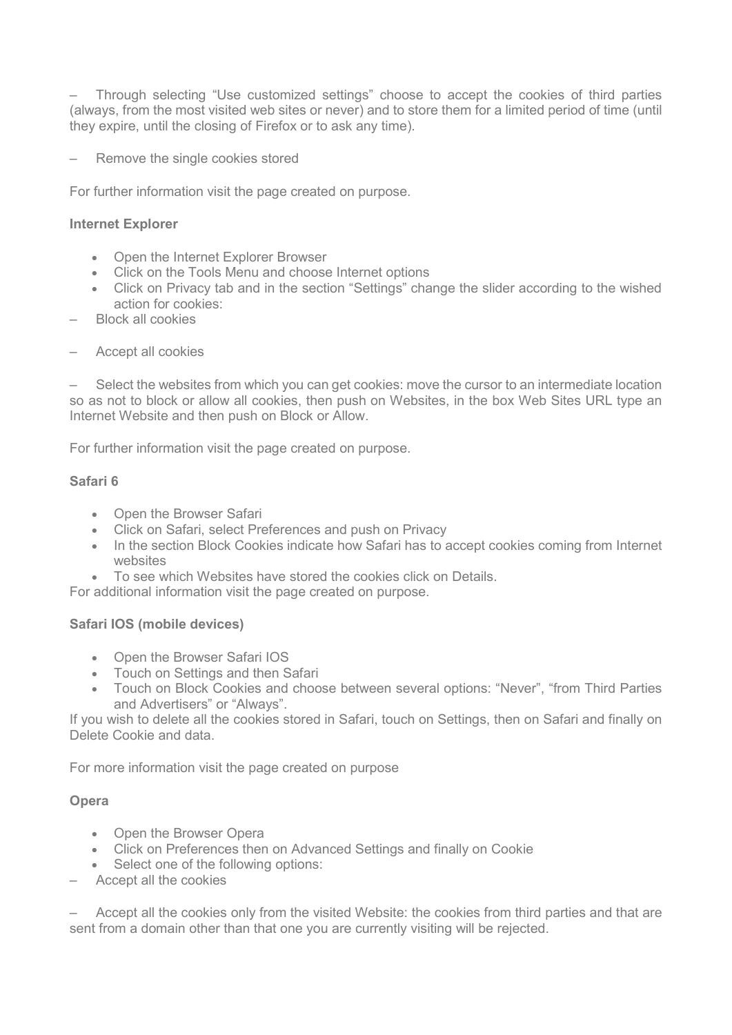– Through selecting "Use customized settings" choose to accept the cookies of third parties (always, from the most visited web sites or never) and to store them for a limited period of time (until they expire, until the closing of Firefox or to ask any time).

– Remove the single cookies stored

For further information visit the page created on purpose.

## **Internet Explorer**

- Open the Internet Explorer Browser
- Click on the Tools Menu and choose Internet options
- Click on Privacy tab and in the section "Settings" change the slider according to the wished action for cookies:
- Block all cookies
- Accept all cookies

– Select the websites from which you can get cookies: move the cursor to an intermediate location so as not to block or allow all cookies, then push on Websites, in the box Web Sites URL type an Internet Website and then push on Block or Allow.

For further information visit the page created on purpose.

## **Safari 6**

- Open the Browser Safari
- Click on Safari, select Preferences and push on Privacy
- In the section Block Cookies indicate how Safari has to accept cookies coming from Internet websites
- To see which Websites have stored the cookies click on Details.

For additional information visit the page created on purpose.

# **Safari IOS (mobile devices)**

- Open the Browser Safari IOS
- Touch on Settings and then Safari
- Touch on Block Cookies and choose between several options: "Never", "from Third Parties and Advertisers" or "Always".

If you wish to delete all the cookies stored in Safari, touch on Settings, then on Safari and finally on Delete Cookie and data.

For more information visit the page created on purpose

## **Opera**

- Open the Browser Opera
- Click on Preferences then on Advanced Settings and finally on Cookie
- Select one of the following options:
- Accept all the cookies

– Accept all the cookies only from the visited Website: the cookies from third parties and that are sent from a domain other than that one you are currently visiting will be rejected.